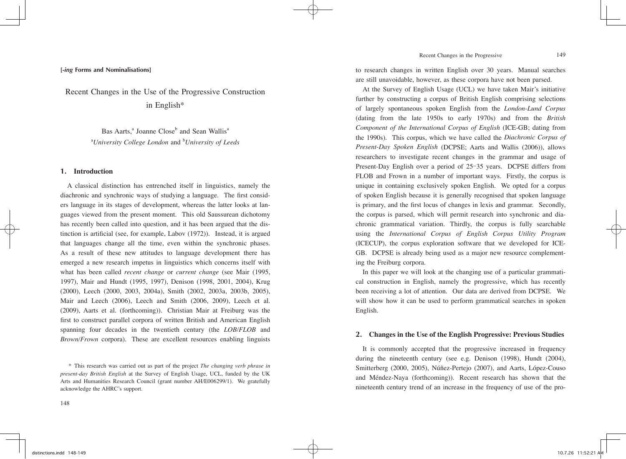# Recent Changes in the Progressive 149

**[-***ing* **Forms and Nominalisations]**

Recent Changes in the Use of the Progressive Construction in English\*

> Bas Aarts,<sup>a</sup> Joanne Close<sup>b</sup> and Sean Wallis<sup>a</sup> <sup>a</sup> University College London and <sup>b</sup>University of Leeds

# **1. Introduction**

A classical distinction has entrenched itself in linguistics, namely the diachronic and synchronic ways of studying a language. The first considers language in its stages of development, whereas the latter looks at languages viewed from the present moment. This old Saussurean dichotomy has recently been called into question, and it has been argued that the distinction is artificial (see, for example, Labov (1972)). Instead, it is argued that languages change all the time, even within the synchronic phases. As a result of these new attitudes to language development there has emerged a new research impetus in linguistics which concerns itself with what has been called *recent change* or *current change* (see Mair (1995, 1997), Mair and Hundt (1995, 1997), Denison (1998, 2001, 2004), Krug (2000), Leech (2000, 2003, 2004a), Smith (2002, 2003a, 2003b, 2005), Mair and Leech (2006), Leech and Smith (2006, 2009), Leech et al*.* (2009), Aarts et al*.* (forthcoming)). Christian Mair at Freiburg was the first to construct parallel corpora of written British and American English spanning four decades in the twentieth century (the *LOB/FLOB* and *Brown/Frown* corpora). These are excellent resources enabling linguists to research changes in written English over 30 years. Manual searches are still unavoidable, however, as these corpora have not been parsed.

At the Survey of English Usage (UCL) we have taken Mair's initiative further by constructing a corpus of British English comprising selections of largely spontaneous spoken English from the *London-Lund Corpus* (dating from the late 1950s to early 1970s) and from the *British Component of the International Corpus of English* (ICE-GB; dating from the 1990s). This corpus, which we have called the *Diachronic Corpus of Present-Day Spoken English* (DCPSE; Aarts and Wallis (2006)), allows researchers to investigate recent changes in the grammar and usage of Present-Day English over a period of 25-35 years. DCPSE differs from FLOB and Frown in a number of important ways. Firstly, the corpus is unique in containing exclusively spoken English. We opted for a corpus of spoken English because it is generally recognised that spoken language is primary, and the first locus of changes in lexis and grammar. Secondly, the corpus is parsed, which will permit research into synchronic and diachronic grammatical variation. Thirdly, the corpus is fully searchable using the *International Corpus of English Corpus Utility Program* (ICECUP), the corpus exploration software that we developed for ICE-GB. DCPSE is already being used as a major new resource complementing the Freiburg corpora.

In this paper we will look at the changing use of a particular grammatical construction in English, namely the progressive, which has recently been receiving a lot of attention. Our data are derived from DCPSE. We will show how it can be used to perform grammatical searches in spoken English.

# **2. Changes in the Use of the English Progressive: Previous Studies**

It is commonly accepted that the progressive increased in frequency during the nineteenth century (see e.g. Denison (1998), Hundt (2004), Smitterberg (2000, 2005), Núñez-Pertejo (2007), and Aarts, López-Couso and Méndez-Naya (forthcoming)). Recent research has shown that the nineteenth century trend of an increase in the frequency of use of the pro-

<sup>\*</sup> This research was carried out as part of the project *The changing verb phrase in present-day British English* at the Survey of English Usage, UCL, funded by the UK Arts and Humanities Research Council (grant number AH/E006299/1). We gratefully acknowledge the AHRC's support.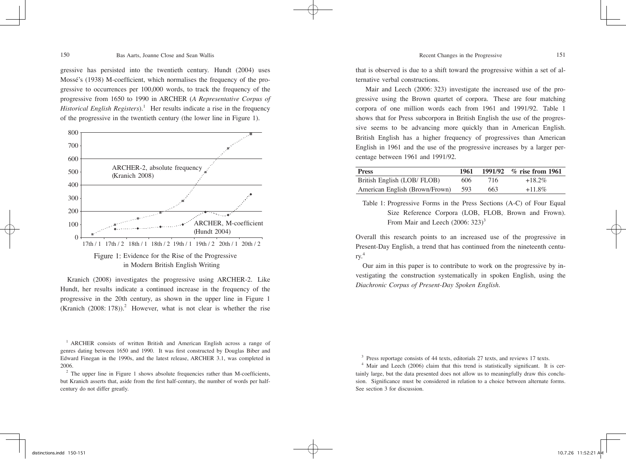gressive has persisted into the twentieth century. Hundt (2004) uses Mossé's (1938) M-coefficient, which normalises the frequency of the progressive to occurrences per 100,000 words, to track the frequency of the progressive from 1650 to 1990 in ARCHER (*A Representative Corpus of Historical English Registers*).<sup>1</sup> Her results indicate a rise in the frequency of the progressive in the twentieth century (the lower line in Figure 1).



# Figure 1: Evidence for the Rise of the Progressive in Modern British English Writing

Kranich (2008) investigates the progressive using ARCHER-2. Like Hundt, her results indicate a continued increase in the frequency of the progressive in the 20th century, as shown in the upper line in Figure 1 (Kranich  $(2008: 178)$ ).<sup>2</sup> However, what is not clear is whether the rise

<sup>1</sup> ARCHER consists of written British and American English across a range of genres dating between 1650 and 1990. It was first constructed by Douglas Biber and Edward Finegan in the 1990s, and the latest release, ARCHER 3.1, was completed in 2006.

that is observed is due to a shift toward the progressive within a set of alternative verbal constructions.

Mair and Leech (2006: 323) investigate the increased use of the progressive using the Brown quartet of corpora. These are four matching corpora of one million words each from 1961 and 1991/92. Table 1 shows that for Press subcorpora in British English the use of the progressive seems to be advancing more quickly than in American English. British English has a higher frequency of progressives than American English in 1961 and the use of the progressive increases by a larger percentage between 1961 and 1991/92.

| <b>Press</b>                   | 1961  |     | 1991/92 $\%$ rise from 1961 |
|--------------------------------|-------|-----|-----------------------------|
| British English (LOB/FLOB)     | 606   | 716 | $+18.2\%$                   |
| American English (Brown/Frown) | - 593 | 663 | $+11.8\%$                   |

Table 1: Progressive Forms in the Press Sections (A-C) of Four Equal Size Reference Corpora (LOB, FLOB, Brown and Frown). From Mair and Leech  $(2006: 323)^3$ 

Overall this research points to an increased use of the progressive in Present-Day English, a trend that has continued from the nineteenth century.<sup>4</sup>

Our aim in this paper is to contribute to work on the progressive by investigating the construction systematically in spoken English, using the *Diachronic Corpus of Present-Day Spoken English*.

<sup>3</sup> Press reportage consists of 44 texts, editorials 27 texts, and reviews 17 texts.

 $<sup>2</sup>$  The upper line in Figure 1 shows absolute frequencies rather than M-coefficients,</sup> but Kranich asserts that, aside from the first half-century, the number of words per halfcentury do not differ greatly.

<sup>&</sup>lt;sup>4</sup> Mair and Leech (2006) claim that this trend is statistically significant. It is certainly large, but the data presented does not allow us to meaningfully draw this conclusion. Significance must be considered in relation to a choice between alternate forms. See section 3 for discussion.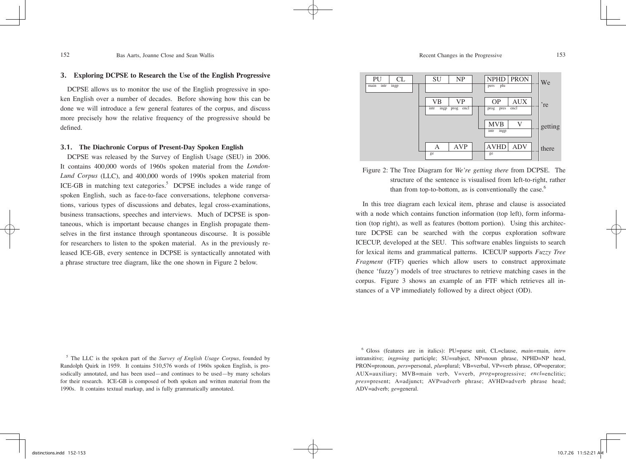# **3. Exploring DCPSE to Research the Use of the English Progressive**

DCPSE allows us to monitor the use of the English progressive in spoken English over a number of decades. Before showing how this can be done we will introduce a few general features of the corpus, and discuss more precisely how the relative frequency of the progressive should be defined.

## **3.1. The Diachronic Corpus of Present-Day Spoken English**

DCPSE was released by the Survey of English Usage (SEU) in 2006. It contains 400,000 words of 1960s spoken material from the *London-Lund Corpus* (LLC), and 400,000 words of 1990s spoken material from ICE-GB in matching text categories.<sup>5</sup> DCPSE includes a wide range of spoken English, such as face-to-face conversations, telephone conversations, various types of discussions and debates, legal cross-examinations, business transactions, speeches and interviews. Much of DCPSE is spontaneous, which is important because changes in English propagate themselves in the first instance through spontaneous discourse. It is possible for researchers to listen to the spoken material. As in the previously released ICE-GB, every sentence in DCPSE is syntactically annotated with a phrase structure tree diagram, like the one shown in Figure 2 below.

PU main intr ingp  $CL$  SU NP NPHD PRON  $W$ 're getting there pers plu VB ingp prog encl  $VP$  | OP prog pres encl AUX MVB intr ingp V A ge AVP | |AVHD | ADV ge

Figure 2: The Tree Diagram for *We're getting there* from DCPSE. The structure of the sentence is visualised from left-to-right, rather than from top-to-bottom, as is conventionally the case. $<sup>6</sup>$ </sup>

In this tree diagram each lexical item, phrase and clause is associated with a node which contains function information (top left), form information (top right), as well as features (bottom portion). Using this architecture DCPSE can be searched with the corpus exploration software ICECUP, developed at the SEU. This software enables linguists to search for lexical items and grammatical patterns. ICECUP supports *Fuzzy Tree Fragment* (FTF) queries which allow users to construct approximate (hence 'fuzzy') models of tree structures to retrieve matching cases in the corpus. Figure 3 shows an example of an FTF which retrieves all instances of a VP immediately followed by a direct object (OD).

<sup>5</sup> The LLC is the spoken part of the *Survey of English Usage Corpus*, founded by Randolph Quirk in 1959. It contains 510,576 words of 1960s spoken English, is prosodically annotated, and has been used—and continues to be used—by many scholars for their research. ICE-GB is composed of both spoken and written material from the 1990s. It contains textual markup, and is fully grammatically annotated.

<sup>6</sup> Gloss (features are in italics): PU=parse unit, CL=clause, *main=*main*, intr*= intransitive; *ingp*=*ing* participle; SU=subject, NP=noun phrase, NPHD=NP head, PRON=pronoun, *pers*=personal, *plu*=plural; VB=verbal, VP=verb phrase, OP=operator; AUX=auxiliary; MVB=main verb, V=verb, *prog*=progressive; *encl*=enclitic; *pres*=present; A=adjunct; AVP=adverb phrase; AVHD=adverb phrase head; ADV=adverb; *ge*=general.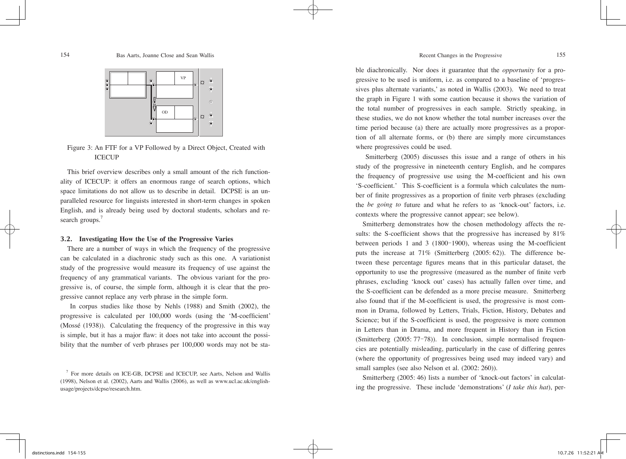

Figure 3: An FTF for a VP Followed by a Direct Object, Created with **ICECUP** 

This brief overview describes only a small amount of the rich functionality of ICECUP: it offers an enormous range of search options, which space limitations do not allow us to describe in detail. DCPSE is an unparalleled resource for linguists interested in short-term changes in spoken English, and is already being used by doctoral students, scholars and research groups.<sup>7</sup>

### **3.2. Investigating How the Use of the Progressive Varies**

There are a number of ways in which the frequency of the progressive can be calculated in a diachronic study such as this one. A variationist study of the progressive would measure its frequency of use against the frequency of any grammatical variants. The obvious variant for the progressive is, of course, the simple form, although it is clear that the progressive cannot replace any verb phrase in the simple form.

In corpus studies like those by Nehls (1988) and Smith (2002), the progressive is calculated per 100,000 words (using the 'M-coefficient' (Mossé (1938)). Calculating the frequency of the progressive in this way is simple, but it has a major flaw: it does not take into account the possibility that the number of verb phrases per 100,000 words may not be sta-

ble diachronically. Nor does it guarantee that the *opportunity* for a progressive to be used is uniform, i.e. as compared to a baseline of 'progressives plus alternate variants,' as noted in Wallis (2003). We need to treat the graph in Figure 1 with some caution because it shows the variation of the total number of progressives in each sample. Strictly speaking, in these studies, we do not know whether the total number increases over the time period because (a) there are actually more progressives as a proportion of all alternate forms, or (b) there are simply more circumstances where progressives could be used.

Smitterberg (2005) discusses this issue and a range of others in his study of the progressive in nineteenth century English, and he compares the frequency of progressive use using the M-coefficient and his own 'S-coefficient.' This S-coefficient is a formula which calculates the number of finite progressives as a proportion of finite verb phrases (excluding the *be going to* future and what he refers to as 'knock-out' factors, i.e. contexts where the progressive cannot appear; see below).

Smitterberg demonstrates how the chosen methodology affects the results: the S-coefficient shows that the progressive has increased by 81% between periods 1 and 3 (1800-1900), whereas using the M-coefficient puts the increase at 71% (Smitterberg (2005: 62)). The difference between these percentage figures means that in this particular dataset, the opportunity to use the progressive (measured as the number of finite verb phrases, excluding 'knock out' cases) has actually fallen over time, and the S-coefficient can be defended as a more precise measure. Smitterberg also found that if the M-coefficient is used, the progressive is most common in Drama, followed by Letters, Trials, Fiction, History, Debates and Science; but if the S-coefficient is used, the progressive is more common in Letters than in Drama, and more frequent in History than in Fiction (Smitterberg (2005: 77-78)). In conclusion, simple normalised frequencies are potentially misleading, particularly in the case of differing genres (where the opportunity of progressives being used may indeed vary) and small samples (see also Nelson et al. (2002: 260)).

Smitterberg (2005: 46) lists a number of 'knock-out factors' in calculating the progressive. These include 'demonstrations' (*I take this hat*), per-

<sup>7</sup> For more details on ICE-GB, DCPSE and ICECUP, see Aarts, Nelson and Wallis (1998), Nelson et al*.* (2002), Aarts and Wallis (2006), as well as www.ucl.ac.uk/englishusage/projects/dcpse/research.htm.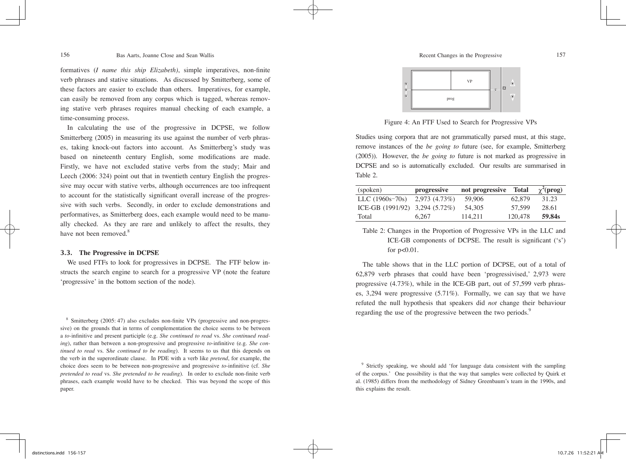formatives (*I name this ship Elizabeth)*, simple imperatives, non-finite verb phrases and stative situations. As discussed by Smitterberg, some of these factors are easier to exclude than others. Imperatives, for example, can easily be removed from any corpus which is tagged, whereas removing stative verb phrases requires manual checking of each example, a time-consuming process.

In calculating the use of the progressive in DCPSE, we follow Smitterberg (2005) in measuring its use against the number of verb phrases, taking knock-out factors into account. As Smitterberg's study was based on nineteenth century English, some modifications are made. Firstly, we have not excluded stative verbs from the study; Mair and Leech (2006: 324) point out that in twentieth century English the progressive may occur with stative verbs, although occurrences are too infrequent to account for the statistically significant overall increase of the progressive with such verbs. Secondly, in order to exclude demonstrations and performatives, as Smitterberg does, each example would need to be manually checked. As they are rare and unlikely to affect the results, they have not been removed.<sup>8</sup>

### **3.3. The Progressive in DCPSE**

We used FTFs to look for progressives in DCPSE. The FTF below instructs the search engine to search for a progressive VP (note the feature 'progressive' in the bottom section of the node).

<sup>8</sup> Smitterberg (2005: 47) also excludes non-finite VPs (progressive and non-progressive) on the grounds that in terms of complementation the choice seems to be between a *to-*infinitive and present participle (e.g. *She continued to read* vs. *She continued reading*), rather than between a non-progressive and progressive *to*-infinitive (e.g. *She continued to read* vs. S*he continued to be reading*). It seems to us that this depends on the verb in the superordinate clause. In PDE with a verb like *pretend*, for example, the choice does seem to be between non-progressive and progressive *to*-infinitive (cf. *She pretended to read* vs. *She pretended to be reading*). In order to exclude non-finite verb phrases, each example would have to be checked. This was beyond the scope of this paper.



Figure 4: An FTF Used to Search for Progressive VPs

Studies using corpora that are not grammatically parsed must, at this stage, remove instances of the *be going to* future (see, for example, Smitterberg (2005)). However, the *be going to* future is not marked as progressive in DCPSE and so is automatically excluded. Our results are summarised in Table 2.

| (spoken)                       | progressive  | not progressive | Total   | $\chi^2$ (prog) |
|--------------------------------|--------------|-----------------|---------|-----------------|
| LLC $(1960s-70s)$              | 2.973(4.73%) | 59.906          | 62,879  | 31.23           |
| ICE-GB (1991/92) 3,294 (5.72%) |              | 54.305          | 57,599  | 28.61           |
| Total                          | 6.267        | 114.211         | 120,478 | 59.84s          |

Table 2: Changes in the Proportion of Progressive VPs in the LLC and ICE-GB components of DCPSE. The result is significant ('s') for p<0.01.

The table shows that in the LLC portion of DCPSE, out of a total of 62,879 verb phrases that could have been 'progressivised,' 2,973 were progressive (4.73%), while in the ICE-GB part, out of 57,599 verb phrases, 3,294 were progressive (5.71%). Formally, we can say that we have refuted the null hypothesis that speakers did *not* change their behaviour regarding the use of the progressive between the two periods.<sup>9</sup>

<sup>9</sup> Strictly speaking, we should add 'for language data consistent with the sampling of the corpus.' One possibility is that the way that samples were collected by Quirk et al*.* (1985) differs from the methodology of Sidney Greenbaum's team in the 1990s, and this explains the result.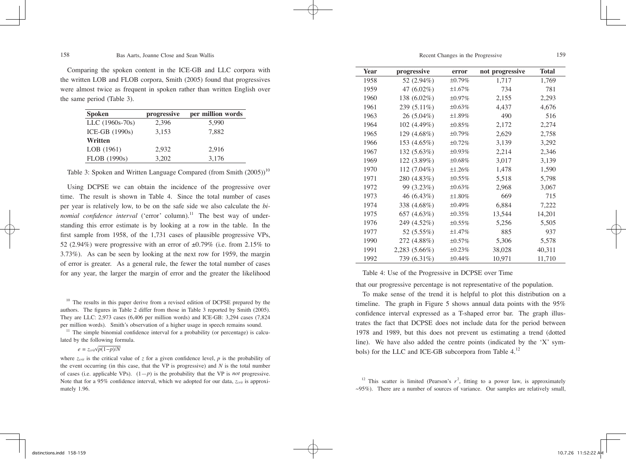Comparing the spoken content in the ICE-GB and LLC corpora with the written LOB and FLOB corpora, Smith (2005) found that progressives were almost twice as frequent in spoken rather than written English over the same period (Table 3).

| <b>Spoken</b>   | progressive | per million words |
|-----------------|-------------|-------------------|
| LLC (1960s-70s) | 2,396       | 5.990             |
| ICE-GB (1990s)  | 3,153       | 7,882             |
| Written         |             |                   |
| LOB (1961)      | 2.932       | 2,916             |
| FLOB (1990s)    | 3,202       | 3,176             |

Table 3: Spoken and Written Language Compared (from Smith  $(2005)$ )<sup>10</sup>

Using DCPSE we can obtain the incidence of the progressive over time. The result is shown in Table 4. Since the total number of cases per year is relatively low, to be on the safe side we also calculate the *binomial confidence interval* ('error' column).<sup>11</sup> The best way of understanding this error estimate is by looking at a row in the table. In the first sample from 1958, of the 1,731 cases of plausible progressive VPs, 52 (2.94%) were progressive with an error of  $\pm 0.79\%$  (i.e. from 2.15% to 3.73%). As can be seen by looking at the next row for 1959, the margin of error is greater. As a general rule, the fewer the total number of cases for any year, the larger the margin of error and the greater the likelihood

<sup>10</sup> The results in this paper derive from a revised edition of DCPSE prepared by the authors. The figures in Table 2 differ from those in Table 3 reported by Smith (2005). They are LLC: 2,973 cases (6,406 per million words) and ICE-GB: 3,294 cases (7,824 per million words). Smith's observation of a higher usage in speech remains sound.

 $11$  The simple binomial confidence interval for a probability (or percentage) is calculated by the following formula.

 $e = \frac{z_{\text{crit}}}{p(1-p)}$ 

where  $z_{crit}$  is the critical value of  $z$  for a given confidence level,  $p$  is the probability of the event occurring (in this case, that the VP is progressive) and  $N$  is the total number of cases (i.e. applicable VPs).  $(1-p)$  is the probability that the VP is *not* progressive. Note that for a 95% confidence interval, which we adopted for our data,  $z_{crit}$  is approximately 1.96.

| <b>Year</b> | progressive   | error        | not progressive | <b>Total</b> |
|-------------|---------------|--------------|-----------------|--------------|
| 1958        | 52 (2.94%)    | $\pm 0.79\%$ | 1,717           | 1,769        |
| 1959        | 47 (6.02%)    | ±1.67%       | 734             | 781          |
| 1960        | 138 (6.02%)   | $\pm 0.97\%$ | 2,155           | 2,293        |
| 1961        | 239 (5.11%)   | $\pm 0.63\%$ | 4,437           | 4,676        |
| 1963        | 26 (5.04%)    | ±1.89%       | 490             | 516          |
| 1964        | 102 (4.49%)   | ±0.85%       | 2,172           | 2,274        |
| 1965        | 129 (4.68%)   | $\pm 0.79\%$ | 2,629           | 2,758        |
| 1966        | 153 (4.65%)   | ±0.72%       | 3,139           | 3,292        |
| 1967        | 132 (5.63%)   | $\pm 0.93\%$ | 2,214           | 2,346        |
| 1969        | 122 (3.89%)   | ±0.68%       | 3,017           | 3,139        |
| 1970        | 112 (7.04%)   | ±1.26%       | 1,478           | 1,590        |
| 1971        | 280 (4.83%)   | $\pm 0.55\%$ | 5,518           | 5,798        |
| 1972        | 99 (3.23%)    | $\pm 0.63\%$ | 2,968           | 3,067        |
| 1973        | 46 (6.43%)    | ±1.80%       | 669             | 715          |
| 1974        | 338 (4.68%)   | ±0.49%       | 6,884           | 7,222        |
| 1975        | 657 (4.63%)   | $\pm 0.35\%$ | 13,544          | 14,201       |
| 1976        | 249 (4.52%)   | $\pm 0.55\%$ | 5,256           | 5,505        |
| 1977        | 52 (5.55%)    | ±1.47%       | 885             | 937          |
| 1990        | 272 (4.88%)   | ±0.57%       | 5,306           | 5,578        |
| 1991        | 2,283 (5.66%) | $\pm 0.23\%$ | 38,028          | 40,311       |
| 1992        | 739 (6.31%)   | $\pm 0.44\%$ | 10,971          | 11,710       |

Table 4: Use of the Progressive in DCPSE over Time

that our progressive percentage is not representative of the population.

To make sense of the trend it is helpful to plot this distribution on a timeline. The graph in Figure 5 shows annual data points with the 95% confidence interval expressed as a T-shaped error bar. The graph illustrates the fact that DCPSE does not include data for the period between 1978 and 1989, but this does not prevent us estimating a trend (dotted line). We have also added the centre points (indicated by the 'X' symbols) for the LLC and ICE-GB subcorpora from Table 4.<sup>12</sup>

<sup>12</sup> This scatter is limited (Pearson's  $r^2$ , fitting to a power law, is approximately  $~95\%$ ). There are a number of sources of variance. Our samples are relatively small,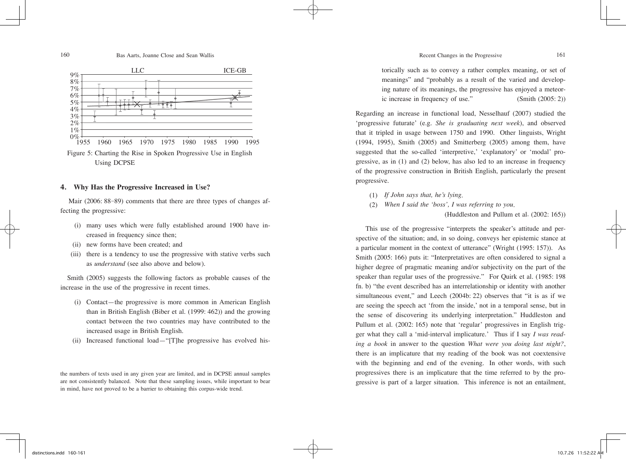

Figure 5: Charting the Rise in Spoken Progressive Use in English Using DCPSE

### **4. Why Has the Progressive Increased in Use?**

Mair (2006: 88-89) comments that there are three types of changes affecting the progressive:

- (i) many uses which were fully established around 1900 have increased in frequency since then;
- (ii) new forms have been created; and
- (iii) there is a tendency to use the progressive with stative verbs such as *understand* (see also above and below).

Smith (2005) suggests the following factors as probable causes of the increase in the use of the progressive in recent times.

- (i) Contact—the progressive is more common in American English than in British English (Biber et al. (1999: 462)) and the growing contact between the two countries may have contributed to the increased usage in British English.
- (ii) Increased functional load—"[T]he progressive has evolved his-

the numbers of texts used in any given year are limited, and in DCPSE annual samples are not consistently balanced. Note that these sampling issues, while important to bear in mind, have not proved to be a barrier to obtaining this corpus-wide trend.

LLC ICE-GB ICE-GB torically such as to convey a rather complex meaning, or set of meanings" and "probably as a result of the varied and developing nature of its meanings, the progressive has enjoyed a meteoric increase in frequency of use." (Smith (2005: 2))

> Regarding an increase in functional load, Nesselhauf (2007) studied the 'progressive futurate' (e.g. *She is graduating next week*), and observed that it tripled in usage between 1750 and 1990. Other linguists, Wright (1994, 1995), Smith (2005) and Smitterberg (2005) among them, have suggested that the so-called 'interpretive,' 'explanatory' or 'modal' progressive, as in (1) and (2) below, has also led to an increase in frequency of the progressive construction in British English, particularly the present progressive.

- (1) *If John says that, he's lying*.
- (2) *When I said the 'boss', I was referring to you*.

(Huddleston and Pullum et al*.* (2002: 165))

This use of the progressive "interprets the speaker's attitude and perspective of the situation; and, in so doing, conveys her epistemic stance at a particular moment in the context of utterance" (Wright (1995: 157)). As Smith (2005: 166) puts it: "Interpretatives are often considered to signal a higher degree of pragmatic meaning and/or subjectivity on the part of the speaker than regular uses of the progressive." For Quirk et al*.* (1985: 198 fn. b) "the event described has an interrelationship or identity with another simultaneous event," and Leech (2004b: 22) observes that "it is as if we are seeing the speech act 'from the inside,' not in a temporal sense, but in the sense of discovering its underlying interpretation." Huddleston and Pullum et al.  $(2002: 165)$  note that 'regular' progressives in English trigger what they call a 'mid-interval implicature.' Thus if I say *I was reading a book* in answer to the question *What were you doing last night?*, there is an implicature that my reading of the book was not coextensive with the beginning and end of the evening. In other words, with such progressives there is an implicature that the time referred to by the progressive is part of a larger situation. This inference is not an entailment,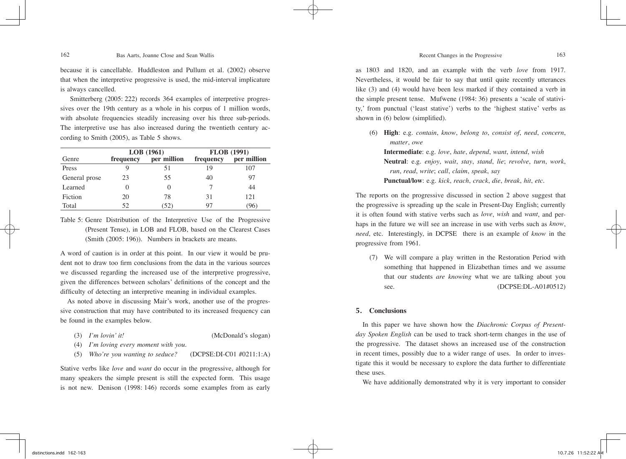because it is cancellable. Huddleston and Pullum et al*.* (2002) observe that when the interpretive progressive is used, the mid-interval implicature is always cancelled.

Smitterberg (2005: 222) records 364 examples of interpretive progressives over the 19th century as a whole in his corpus of 1 million words, with absolute frequencies steadily increasing over his three sub-periods. The interpretive use has also increased during the twentieth century according to Smith (2005), as Table 5 shows.

|               | $LOB$ (1961) |                  | <b>FLOB</b> (1991) |             |
|---------------|--------------|------------------|--------------------|-------------|
| Genre         | frequency    | per million      | <b>frequency</b>   | per million |
| Press         |              | 51               | 19                 | 107         |
| General prose | 23           | 55               | 40                 | 97          |
| Learned       |              | $\left( \right)$ |                    | 44          |
| Fiction       | 20           | 78               | 31                 | 121         |
| Total         | 52           | (52)             | 97                 | 96          |

Table 5: Genre Distribution of the Interpretive Use of the Progressive (Present Tense), in LOB and FLOB, based on the Clearest Cases (Smith (2005: 196)). Numbers in brackets are means.

A word of caution is in order at this point. In our view it would be prudent not to draw too firm conclusions from the data in the various sources we discussed regarding the increased use of the interpretive progressive, given the differences between scholars' definitions of the concept and the difficulty of detecting an interpretive meaning in individual examples.

As noted above in discussing Mair's work, another use of the progressive construction that may have contributed to its increased frequency can be found in the examples below.

- 
- (3) *I'm lovin' it!* (McDonald's slogan)
- (4) *I'm loving every moment with you.*
- (5) *Who're you wanting to seduce?* (DCPSE:DI-C01 #0211:1:A)

Stative verbs like *love* and *want* do occur in the progressive, although for many speakers the simple present is still the expected form. This usage is not new. Denison (1998: 146) records some examples from as early as 1803 and 1820, and an example with the verb *love* from 1917. Nevertheless, it would be fair to say that until quite recently utterances like (3) and (4) would have been less marked if they contained a verb in the simple present tense. Mufwene (1984: 36) presents a 'scale of stativity,' from punctual ('least stative') verbs to the 'highest stative' verbs as shown in (6) below (simplified).

(6) **High**: e.g. *contain*, *know*, *belong to*, *consist of*, *need*, *concern*, *matter*, *owe*

**Intermediate**: e.g. *love*, *hate*, *depend*, *want*, *intend*, *wish* **Neutral**: e.g. *enjoy*, *wait*, *stay*, *stand*, *lie*; *revolve*, *turn*, *work*, *run*, *read*, *write*; *call*, *claim*, *speak*, *say*

**Punctual/low**: e.g. *kick*, *reach*, *crack*, *die*, *break*, *hit*, *etc*.

The reports on the progressive discussed in section 2 above suggest that the progressive is spreading up the scale in Present-Day English; currently it is often found with stative verbs such as *love*, *wish* and *want*, and perhaps in the future we will see an increase in use with verbs such as *know*, *need*, etc. Interestingly, in DCPSE there is an example of *know* in the progressive from 1961.

(7) We will compare a play written in the Restoration Period with something that happened in Elizabethan times and we assume that our students *are knowing* what we are talking about you see. (DCPSE:DL-A01#0512)

### **5. Conclusions**

In this paper we have shown how the *Diachronic Corpus of Presentday Spoken English* can be used to track short-term changes in the use of the progressive. The dataset shows an increased use of the construction in recent times, possibly due to a wider range of uses. In order to investigate this it would be necessary to explore the data further to differentiate these uses.

We have additionally demonstrated why it is very important to consider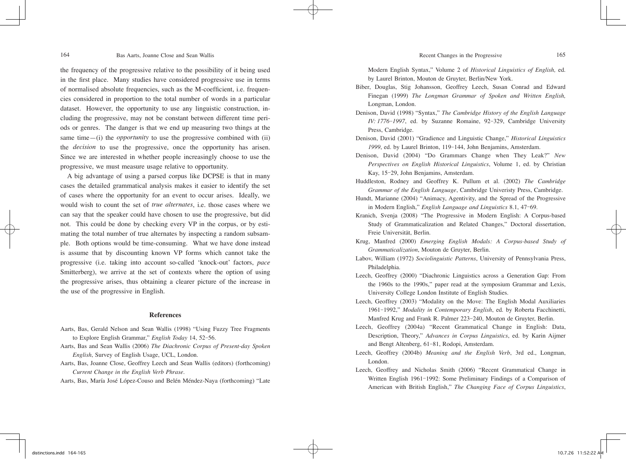the frequency of the progressive relative to the possibility of it being used in the first place. Many studies have considered progressive use in terms of normalised absolute frequencies, such as the M-coefficient, i.e. frequencies considered in proportion to the total number of words in a particular dataset. However, the opportunity to use any linguistic construction, including the progressive, may not be constant between different time periods or genres. The danger is that we end up measuring two things at the same time—(i) the *opportunity* to use the progressive combined with (ii) the *decision* to use the progressive, once the opportunity has arisen. Since we are interested in whether people increasingly choose to use the progressive, we must measure usage relative to opportunity.

A big advantage of using a parsed corpus like DCPSE is that in many cases the detailed grammatical analysis makes it easier to identify the set of cases where the opportunity for an event to occur arises. Ideally, we would wish to count the set of *true alternates*, i.e. those cases where we can say that the speaker could have chosen to use the progressive, but did not. This could be done by checking every VP in the corpus, or by estimating the total number of true alternates by inspecting a random subsample. Both options would be time-consuming. What we have done instead is assume that by discounting known VP forms which cannot take the progressive (i.e. taking into account so-called 'knock-out' factors, *pace* Smitterberg), we arrive at the set of contexts where the option of using the progressive arises, thus obtaining a clearer picture of the increase in the use of the progressive in English.

#### **References**

- Aarts, Bas, Gerald Nelson and Sean Wallis (1998) "Using Fuzzy Tree Fragments to Explore English Grammar," *English Today* 14, 52-56.
- Aarts, Bas and Sean Wallis (2006) *The Diachronic Corpus of Present-day Spoken English*, Survey of English Usage, UCL, London.
- Aarts, Bas, Joanne Close, Geoffrey Leech and Sean Wallis (editors) (forthcoming) *Current Change in the English Verb Phrase*.
- Aarts, Bas, María José López-Couso and Belén Méndez-Naya (forthcoming) "Late

Modern English Syntax," Volume 2 of *Historical Linguistics of English,* ed. by Laurel Brinton, Mouton de Gruyter, Berlin/New York.

- Biber, Douglas, Stig Johansson, Geoffrey Leech, Susan Conrad and Edward Finegan (1999) *The Longman Grammar of Spoken and Written English,*  Longman, London.
- Denison, David (1998) "Syntax," *The Cambridge History of the English Language IV: 1776*-*1997*, ed. by Suzanne Romaine, 92-329, Cambridge University Press, Cambridge.
- Denison, David (2001) "Gradience and Linguistic Change," *Historical Linguistics 1999*, ed. by Laurel Brinton, 119-144, John Benjamins, Amsterdam.
- Denison, David (2004) "Do Grammars Change when They Leak?" *New Perspectives on English Historical Linguistics*, Volume 1, ed. by Christian Kay, 15-29, John Benjamins, Amsterdam.
- Huddleston, Rodney and Geoffrey K. Pullum et al*.* (2002) *The Cambridge Grammar of the English Language*, Cambridge Univeristy Press, Cambridge.
- Hundt, Marianne (2004) "Animacy, Agentivity, and the Spread of the Progressive in Modern English," *English Language and Linguistics* 8.1, 47-69.
- Kranich, Svenja (2008) "The Progressive in Modern English: A Corpus-based Study of Grammaticalization and Related Changes," Doctoral dissertation, Freie Universität, Berlin.
- Krug, Manfred (2000) *Emerging English Modals: A Corpus-based Study of Grammaticalization*, Mouton de Gruyter, Berlin.
- Labov, William (1972) *Sociolinguistic Patterns*, University of Pennsylvania Press, Philadelphia.
- Leech, Geoffrey (2000) "Diachronic Linguistics across a Generation Gap: From the 1960s to the 1990s," paper read at the symposium Grammar and Lexis, University College London Institute of English Studies.
- Leech, Geoffrey (2003) "Modality on the Move: The English Modal Auxiliaries 1961-1992," *Modality in Contemporary English*, ed. by Roberta Facchinetti, Manfred Krug and Frank R. Palmer 223-240, Mouton de Gruyter, Berlin.
- Leech, Geoffrey (2004a) "Recent Grammatical Change in English: Data, Description, Theory," *Advances in Corpus Linguistics*, ed. by Karin Aijmer and Bengt Altenberg, 61-81, Rodopi, Amsterdam.
- Leech, Geoffrey (2004b) *Meaning and the English Verb*, 3rd ed., Longman, London.
- Leech, Geoffrey and Nicholas Smith (2006) "Recent Grammatical Change in Written English 1961-1992: Some Preliminary Findings of a Comparison of American with British English," *The Changing Face of Corpus Linguistics*,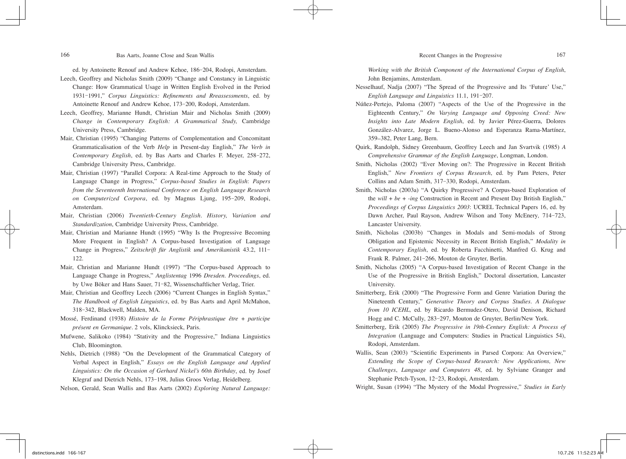#### 166 Bas Aarts, Joanne Close and Sean Wallis 167 and Search Changes in the Progressive 167

ed. by Antoinette Renouf and Andrew Kehoe, 186-204, Rodopi, Amsterdam. Leech, Geoffrey and Nicholas Smith (2009) "Change and Constancy in Linguistic

- Change: How Grammatical Usage in Written English Evolved in the Period 1931-1991," *Corpus Linguistics: Refinements and Rreassessments*, ed. by Antoinette Renouf and Andrew Kehoe, 173-200, Rodopi, Amsterdam.
- Leech, Geoffrey, Marianne Hundt, Christian Mair and Nicholas Smith (2009) *Change in Contemporary English: A Grammatical Study,* Cambridge University Press, Cambridge.
- Mair, Christian (1995) "Changing Patterns of Complementation and Concomitant Grammaticalisation of the Verb *Help* in Present-day English," *The Verb in Contemporary English*, ed. by Bas Aarts and Charles F. Meyer, 258-272, Cambridge University Press, Cambridge.
- Mair, Christian (1997) "Parallel Corpora: A Real-time Approach to the Study of Language Change in Progress," *Corpus-based Studies in English*: *Papers from the Seventeenth International Conference on English Language Research on Computerized Corpora*, ed. by Magnus Ljung, 195-209, Rodopi, Amsterdam.
- Mair, Christian (2006) *Twentieth-Century English. History, Variation and Standardization*, Cambridge University Press, Cambridge.
- Mair, Christian and Marianne Hundt (1995) "Why Is the Progressive Becoming More Frequent in English? A Corpus-based Investigation of Language Change in Progress," *Zeitschrift für Anglistik und Amerikanistik* 43.2, 111- 122.
- Mair, Christian and Marianne Hundt (1997) "The Corpus-based Approach to Language Change in Progress," *Anglistentag* 1996 *Dresden. Proceedings*, ed. by Uwe Böker and Hans Sauer, 71-82, Wissenschaftlicher Verlag, Trier.
- Mair, Christian and Geoffrey Leech (2006) "Current Changes in English Syntax," *The Handbook of English Linguistics*, ed. by Bas Aarts and April McMahon, 318-342, Blackwell, Malden, MA.
- Mossé, Ferdinand (1938) *Histoire de la Forme Périphrastique être* + *participe présent en Germanique*. 2 vols, Klincksieck, Paris.
- Mufwene, Salikoko (1984) "Stativity and the Progressive," Indiana Linguistics Club, Bloomington.
- Nehls, Dietrich (1988) "On the Development of the Grammatical Category of Verbal Aspect in English," *Essays on the English Language and Applied Linguistics: On the Occasion of Gerhard Nickel's 60th Birthday*, ed. by Josef Klegraf and Dietrich Nehls, 173-198, Julius Groos Verlag, Heidelberg.

Nelson, Gerald, Sean Wallis and Bas Aarts (2002) *Exploring Natural Language:* 

*Working with the British Component of the International Corpus of English*, John Benjamins, Amsterdam.

- Nesselhauf, Nadja (2007) "The Spread of the Progressive and Its 'Future' Use," *English Language and Linguistics* 11.1, 191-207.
- Núñez-Pertejo, Paloma (2007) "Aspects of the Use of the Progressive in the Eighteenth Century," *On Varying Language and Opposing Creed: New Insights into Late Modern English*, ed. by Javier Pérez-Guerra, Dolores González-Alvarez, Jorge L. Bueno-Alonso and Esperanza Rama-Martínez, 359−382, Peter Lang, Bern.
- Quirk, Randolph, Sidney Greenbaum, Geoffrey Leech and Jan Svartvik (1985) *A Comprehensive Grammar of the English Language*, Longman, London.
- Smith, Nicholas (2002) "Ever Moving on?: The Progressive in Recent British English," *New Frontiers of Corpus Research*, ed. by Pam Peters, Peter Collins and Adam Smith, 317-330, Rodopi, Amsterdam.
- Smith, Nicholas (2003a) "A Quirky Progressive? A Corpus-based Exploration of the *will* + *be* + *-ing* Construction in Recent and Present Day British English," *Proceedings of Corpus Linguistics 2003*: UCREL Technical Papers 16, ed. by Dawn Archer, Paul Rayson, Andrew Wilson and Tony McEnery*,* 714-723, Lancaster University.
- Smith, Nicholas (2003b) "Changes in Modals and Semi-modals of Strong Obligation and Epistemic Necessity in Recent British English," *Modality in Contemporary English*, ed. by Roberta Facchinetti, Manfred G. Krug and Frank R. Palmer, 241-266, Mouton de Gruyter, Berlin.
- Smith, Nicholas (2005) "A Corpus-based Investigation of Recent Change in the Use of the Progressive in British English," Doctoral dissertation, Lancaster University.
- Smitterberg, Erik (2000) "The Progressive Form and Genre Variation During the Nineteenth Century," *Generative Theory and Corpus Studies. A Dialogue from 10 ICEHL,* ed. by Ricardo Bermudez-Otero, David Denison, Richard Hogg and C. McCully, 283-297, Mouton de Gruyter, Berlin/New York.
- Smitterberg, Erik (2005) *The Progressive in 19th-Century English: A Process of Integration* (Language and Computers: Studies in Practical Linguistics 54), Rodopi, Amsterdam.
- Wallis, Sean (2003) "Scientific Experiments in Parsed Corpora: An Overview," *Extending the Scope of Corpus-based Research: New Applications, New Challenges*, *Language and Computers 48*, ed. by Sylviane Granger and Stephanie Petch-Tyson, 12-23, Rodopi, Amsterdam.

Wright, Susan (1994) "The Mystery of the Modal Progressive," *Studies in Early*